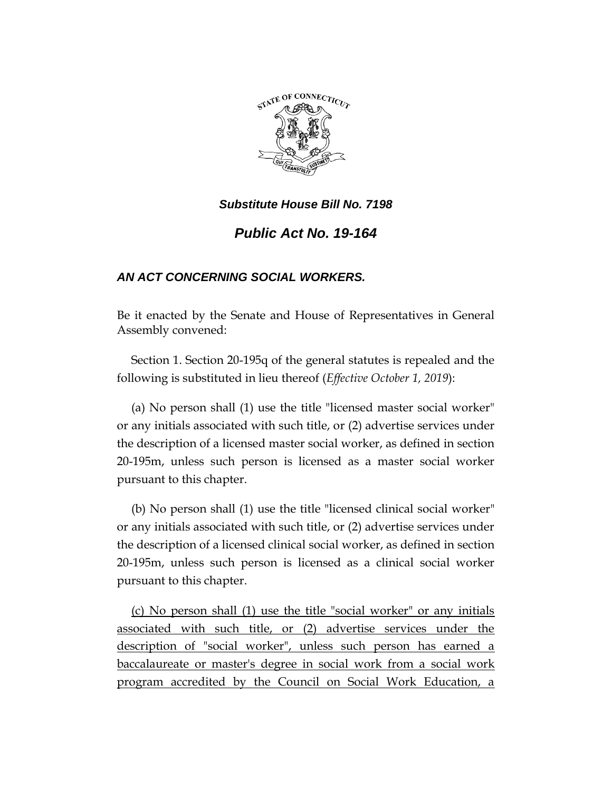

## *Substitute House Bill No. 7198*

# *Public Act No. 19-164*

## *AN ACT CONCERNING SOCIAL WORKERS.*

Be it enacted by the Senate and House of Representatives in General Assembly convened:

Section 1. Section 20-195q of the general statutes is repealed and the following is substituted in lieu thereof (*Effective October 1, 2019*):

(a) No person shall (1) use the title "licensed master social worker" or any initials associated with such title, or (2) advertise services under the description of a licensed master social worker, as defined in section 20-195m, unless such person is licensed as a master social worker pursuant to this chapter.

(b) No person shall (1) use the title "licensed clinical social worker" or any initials associated with such title, or (2) advertise services under the description of a licensed clinical social worker, as defined in section 20-195m, unless such person is licensed as a clinical social worker pursuant to this chapter.

(c) No person shall (1) use the title "social worker" or any initials associated with such title, or (2) advertise services under the description of "social worker", unless such person has earned a baccalaureate or master's degree in social work from a social work program accredited by the Council on Social Work Education, a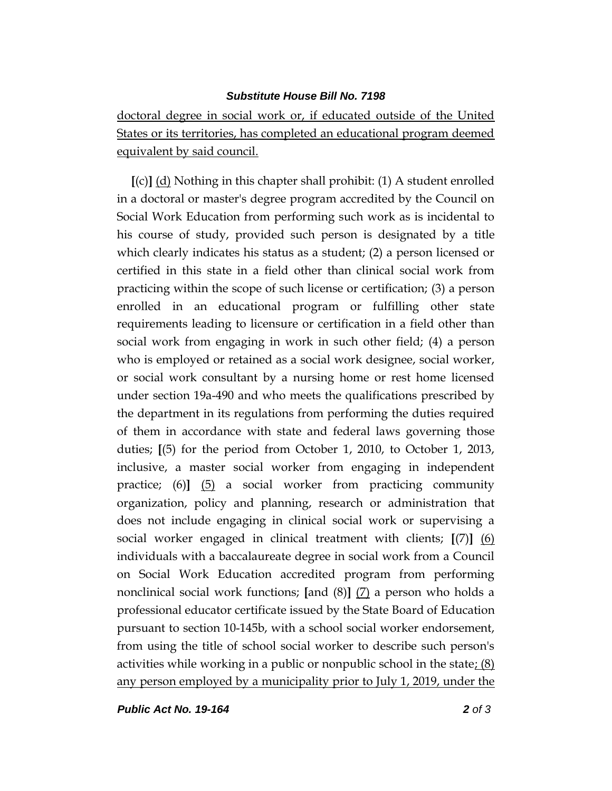#### *Substitute House Bill No. 7198*

doctoral degree in social work or, if educated outside of the United States or its territories, has completed an educational program deemed equivalent by said council.

**[**(c)**]** (d) Nothing in this chapter shall prohibit: (1) A student enrolled in a doctoral or master's degree program accredited by the Council on Social Work Education from performing such work as is incidental to his course of study, provided such person is designated by a title which clearly indicates his status as a student; (2) a person licensed or certified in this state in a field other than clinical social work from practicing within the scope of such license or certification; (3) a person enrolled in an educational program or fulfilling other state requirements leading to licensure or certification in a field other than social work from engaging in work in such other field; (4) a person who is employed or retained as a social work designee, social worker, or social work consultant by a nursing home or rest home licensed under section 19a-490 and who meets the qualifications prescribed by the department in its regulations from performing the duties required of them in accordance with state and federal laws governing those duties; **[**(5) for the period from October 1, 2010, to October 1, 2013, inclusive, a master social worker from engaging in independent practice; (6)**]** (5) a social worker from practicing community organization, policy and planning, research or administration that does not include engaging in clinical social work or supervising a social worker engaged in clinical treatment with clients; **[**(7)**]** (6) individuals with a baccalaureate degree in social work from a Council on Social Work Education accredited program from performing nonclinical social work functions; **[**and (8)**]** (7) a person who holds a professional educator certificate issued by the State Board of Education pursuant to section 10-145b, with a school social worker endorsement, from using the title of school social worker to describe such person's activities while working in a public or nonpublic school in the state:  $(8)$ any person employed by a municipality prior to July 1, 2019, under the

*Public Act No. 19-164 2 of 3*